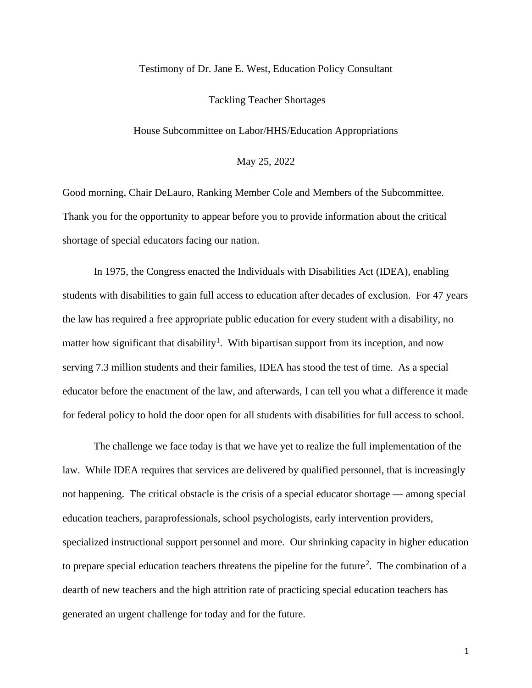# Testimony of Dr. Jane E. West, Education Policy Consultant

## Tackling Teacher Shortages

House Subcommittee on Labor/HHS/Education Appropriations

May 25, 2022

Good morning, Chair DeLauro, Ranking Member Cole and Members of the Subcommittee. Thank you for the opportunity to appear before you to provide information about the critical shortage of special educators facing our nation.

In 1975, the Congress enacted the Individuals with Disabilities Act (IDEA), enabling students with disabilities to gain full access to education after decades of exclusion. For 47 years the law has required a free appropriate public education for every student with a disability, no matter how significant that disability<sup>[1](#page-8-0)</sup>. With bipartisan support from its inception, and now serving 7.3 million students and their families, IDEA has stood the test of time. As a special educator before the enactment of the law, and afterwards, I can tell you what a difference it made for federal policy to hold the door open for all students with disabilities for full access to school.

The challenge we face today is that we have yet to realize the full implementation of the law. While IDEA requires that services are delivered by qualified personnel, that is increasingly not happening. The critical obstacle is the crisis of a special educator shortage — among special education teachers, paraprofessionals, school psychologists, early intervention providers, specialized instructional support personnel and more. Our shrinking capacity in higher education to prepare special education teachers threatens the pipeline for the future<sup>[2](#page-8-1)</sup>. The combination of a dearth of new teachers and the high attrition rate of practicing special education teachers has generated an urgent challenge for today and for the future.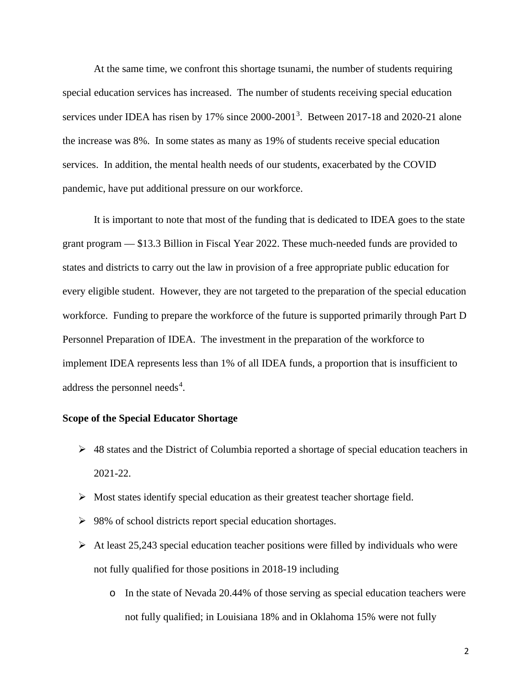At the same time, we confront this shortage tsunami, the number of students requiring special education services has increased. The number of students receiving special education services under IDEA has risen by 17% since 2000-2001<sup>[3](#page-8-2)</sup>. Between 2017-18 and 2020-21 alone the increase was 8%. In some states as many as 19% of students receive special education services. In addition, the mental health needs of our students, exacerbated by the COVID pandemic, have put additional pressure on our workforce.

It is important to note that most of the funding that is dedicated to IDEA goes to the state grant program — \$13.3 Billion in Fiscal Year 2022. These much-needed funds are provided to states and districts to carry out the law in provision of a free appropriate public education for every eligible student. However, they are not targeted to the preparation of the special education workforce. Funding to prepare the workforce of the future is supported primarily through Part D Personnel Preparation of IDEA. The investment in the preparation of the workforce to implement IDEA represents less than 1% of all IDEA funds, a proportion that is insufficient to address the personnel needs<sup>[4](#page-8-3)</sup>.

# **Scope of the Special Educator Shortage**

- $\triangleright$  48 states and the District of Columbia reported a shortage of special education teachers in 2021-22.
- $\triangleright$  Most states identify special education as their greatest teacher shortage field.
- $\geq 98\%$  of school districts report special education shortages.
- $\triangleright$  At least 25,243 special education teacher positions were filled by individuals who were not fully qualified for those positions in 2018-19 including
	- o In the state of Nevada 20.44% of those serving as special education teachers were not fully qualified; in Louisiana 18% and in Oklahoma 15% were not fully

2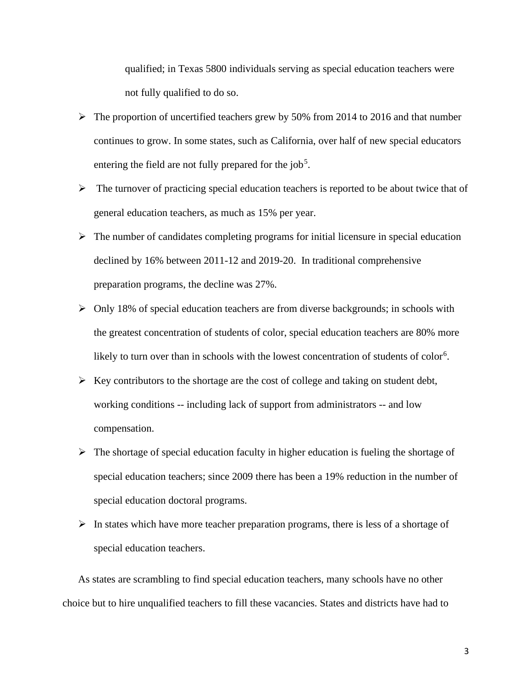qualified; in Texas 5800 individuals serving as special education teachers were not fully qualified to do so.

- $\triangleright$  The proportion of uncertified teachers grew by 50% from 2014 to 2016 and that number continues to grow. In some states, such as California, over half of new special educators entering the field are not fully prepared for the job<sup>[5](#page-8-4)</sup>.
- $\triangleright$  The turnover of practicing special education teachers is reported to be about twice that of general education teachers, as much as 15% per year.
- $\triangleright$  The number of candidates completing programs for initial licensure in special education declined by 16% between 2011-12 and 2019-20. In traditional comprehensive preparation programs, the decline was 27%.
- $\triangleright$  Only 18% of special education teachers are from diverse backgrounds; in schools with the greatest concentration of students of color, special education teachers are 80% more likely to turn over than in schools with the lowest concentration of students of color<sup>[6](#page-8-5)</sup>.
- $\triangleright$  Key contributors to the shortage are the cost of college and taking on student debt, working conditions -- including lack of support from administrators -- and low compensation.
- $\triangleright$  The shortage of special education faculty in higher education is fueling the shortage of special education teachers; since 2009 there has been a 19% reduction in the number of special education doctoral programs.
- $\triangleright$  In states which have more teacher preparation programs, there is less of a shortage of special education teachers.

As states are scrambling to find special education teachers, many schools have no other choice but to hire unqualified teachers to fill these vacancies. States and districts have had to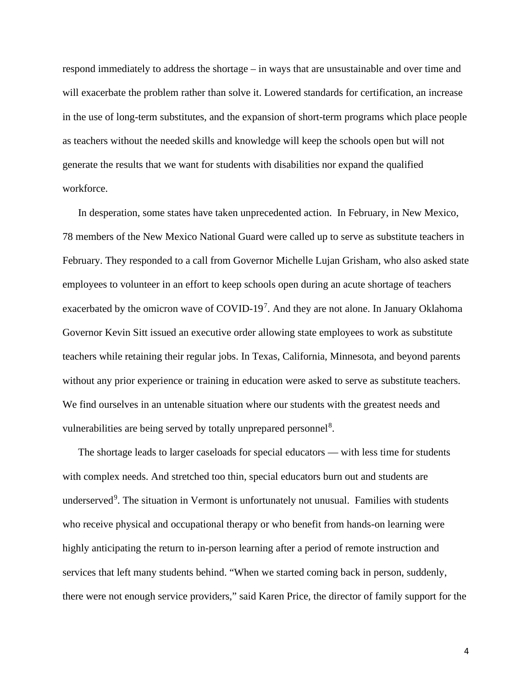respond immediately to address the shortage – in ways that are unsustainable and over time and will exacerbate the problem rather than solve it. Lowered standards for certification, an increase in the use of long-term substitutes, and the expansion of short-term programs which place people as teachers without the needed skills and knowledge will keep the schools open but will not generate the results that we want for students with disabilities nor expand the qualified workforce.

In desperation, some states have taken unprecedented action. In February, in New Mexico, 78 members of the New Mexico National Guard were called up to serve as substitute teachers in February. They responded to a call from Governor Michelle Lujan Grisham, who also asked state employees to volunteer in an effort to keep schools open during an acute shortage of teachers exacerbated by the omicron wave of COVID-19<sup>[7](#page-8-6)</sup>. And they are not alone. In January Oklahoma Governor Kevin Sitt issued an executive order allowing state employees to work as substitute teachers while retaining their regular jobs. In Texas, California, Minnesota, and beyond parents without any prior experience or training in education were asked to serve as substitute teachers. We find ourselves in an untenable situation where our students with the greatest needs and vulnerabilities are being served by totally unprepared personnel<sup>[8](#page-8-7)</sup>.

The shortage leads to larger caseloads for special educators — with less time for students with complex needs. And stretched too thin, special educators burn out and students are underserved<sup>[9](#page-8-8)</sup>. The situation in Vermont is unfortunately not unusual. Families with students who receive physical and occupational therapy or who benefit from hands-on learning were highly anticipating the return to in-person learning after a period of remote instruction and services that left many students behind. "When we started coming back in person, suddenly, there were not enough service providers," said Karen Price, the director of family support for the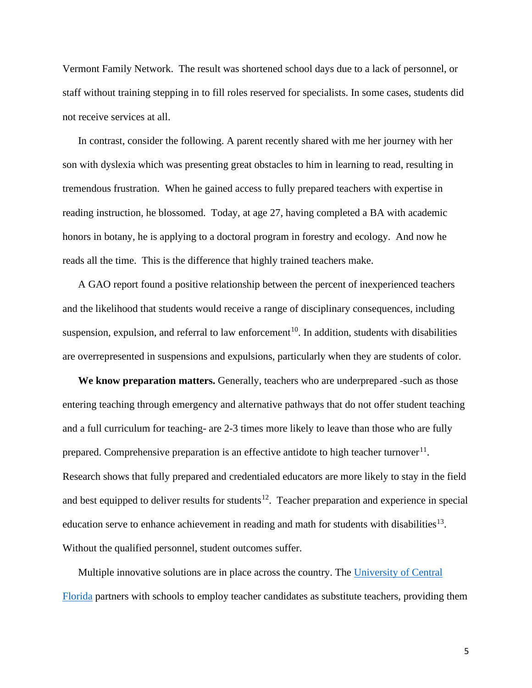Vermont Family Network. The result was shortened school days due to a lack of personnel, or staff without training stepping in to fill roles reserved for specialists. In some cases, students did not receive services at all.

In contrast, consider the following. A parent recently shared with me her journey with her son with dyslexia which was presenting great obstacles to him in learning to read, resulting in tremendous frustration. When he gained access to fully prepared teachers with expertise in reading instruction, he blossomed. Today, at age 27, having completed a BA with academic honors in botany, he is applying to a doctoral program in forestry and ecology. And now he reads all the time. This is the difference that highly trained teachers make.

A GAO report found a positive relationship between the percent of inexperienced teachers and the likelihood that students would receive a range of disciplinary consequences, including suspension, expulsion, and referral to law enforcement<sup>[10](#page-9-0)</sup>. In addition, students with disabilities are overrepresented in suspensions and expulsions, particularly when they are students of color.

**We know preparation matters.** Generally, teachers who are underprepared -such as those entering teaching through emergency and alternative pathways that do not offer student teaching and a full curriculum for teaching- are 2-3 times more likely to leave than those who are fully prepared. Comprehensive preparation is an effective antidote to high teacher turnover $^{11}$ . Research shows that fully prepared and credentialed educators are more likely to stay in the field and best equipped to deliver results for students<sup>12</sup>. Teacher preparation and experience in special education serve to enhance achievement in reading and math for students with disabilities<sup>[13](#page-9-3)</sup>. Without the qualified personnel, student outcomes suffer.

Multiple innovative solutions are in place across the country. The [University of Central](https://exceptionalchildren.org/events/information-implementation-combatting-shortages-educators-serving-swds/educator-preparation-innovation-creating-pathways-strengthen-recruitment)  [Florida](https://exceptionalchildren.org/events/information-implementation-combatting-shortages-educators-serving-swds/educator-preparation-innovation-creating-pathways-strengthen-recruitment) partners with schools to employ teacher candidates as substitute teachers, providing them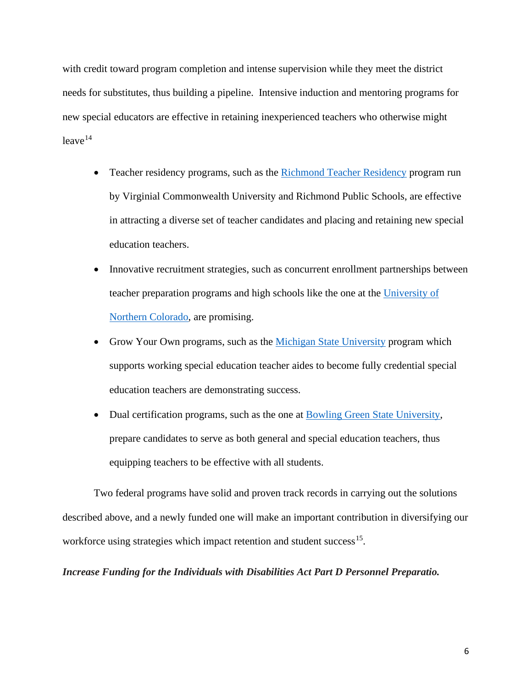with credit toward program completion and intense supervision while they meet the district needs for substitutes, thus building a pipeline. Intensive induction and mentoring programs for new special educators are effective in retaining inexperienced teachers who otherwise might  $leave<sup>14</sup>$  $leave<sup>14</sup>$  $leave<sup>14</sup>$ 

- Teacher residency programs, such as the [Richmond Teacher Residency](https://teachrtr.org/) program run by Virginial Commonwealth University and Richmond Public Schools, are effective in attracting a diverse set of teacher candidates and placing and retaining new special education teachers.
- Innovative recruitment strategies, such as concurrent enrollment partnerships between teacher preparation programs and high schools like the one at the [University of](https://exceptionalchildren.org/events/information-implementation-combatting-shortages-educators-serving-swds/educator-preparation-innovation-creating-pathways-strengthen-recruitment)  [Northern Colorado,](https://exceptionalchildren.org/events/information-implementation-combatting-shortages-educators-serving-swds/educator-preparation-innovation-creating-pathways-strengthen-recruitment) are promising.
- Grow Your Own programs, such as the [Michigan State University](https://exceptionalchildren.org/events/information-implementation-combatting-shortages-educators-serving-swds/educator-preparation-innovation-creating-pathways-strengthen-recruitment) program which supports working special education teacher aides to become fully credential special education teachers are demonstrating success.
- Dual certification programs, such as the one at [Bowling Green State University,](https://www.bgsu.edu/education-and-human-development/school-of-teaching-and-learning/inclusive-early-childhood-education.html) prepare candidates to serve as both general and special education teachers, thus equipping teachers to be effective with all students.

Two federal programs have solid and proven track records in carrying out the solutions described above, and a newly funded one will make an important contribution in diversifying our workforce using strategies which impact retention and student success<sup>15</sup>.

*Increase Funding for the Individuals with Disabilities Act Part D Personnel Preparatio.*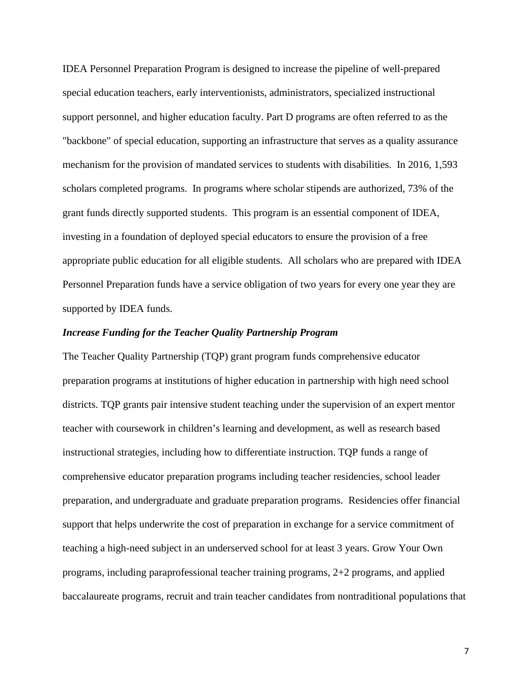IDEA Personnel Preparation Program is designed to increase the pipeline of well-prepared special education teachers, early interventionists, administrators, specialized instructional support personnel, and higher education faculty. Part D programs are often referred to as the "backbone" of special education, supporting an infrastructure that serves as a quality assurance mechanism for the provision of mandated services to students with disabilities. In 2016, 1,593 scholars completed programs. In programs where scholar stipends are authorized, 73% of the grant funds directly supported students. This program is an essential component of IDEA, investing in a foundation of deployed special educators to ensure the provision of a free appropriate public education for all eligible students. All scholars who are prepared with IDEA Personnel Preparation funds have a service obligation of two years for every one year they are supported by IDEA funds.

# *Increase Funding for the Teacher Quality Partnership Program*

The Teacher Quality Partnership (TQP) grant program funds comprehensive educator preparation programs at institutions of higher education in partnership with high need school districts. TQP grants pair intensive student teaching under the supervision of an expert mentor teacher with coursework in children's learning and development, as well as research based instructional strategies, including how to differentiate instruction. TQP funds a range of comprehensive educator preparation programs including teacher residencies, school leader preparation, and undergraduate and graduate preparation programs. Residencies offer financial support that helps underwrite the cost of preparation in exchange for a service commitment of teaching a high-need subject in an underserved school for at least 3 years. Grow Your Own programs, including paraprofessional teacher training programs, 2+2 programs, and applied baccalaureate programs, recruit and train teacher candidates from nontraditional populations that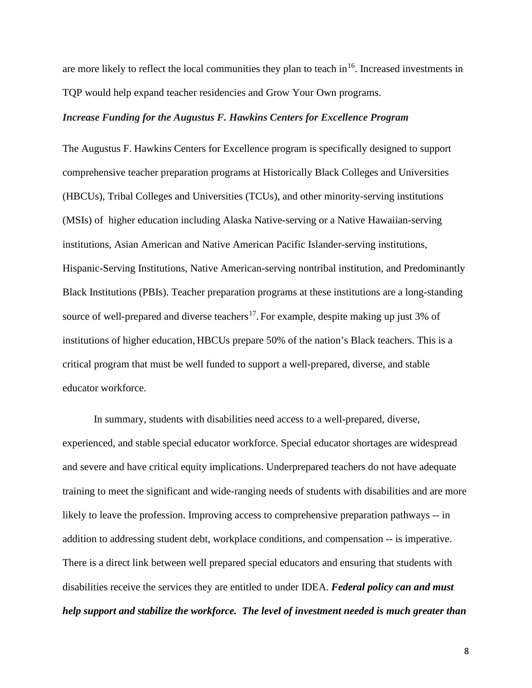are more likely to reflect the local communities they plan to teach in  $16$ . Increased investments in TQP would help expand teacher residencies and Grow Your Own programs.

#### *Increase Funding for the Augustus F. Hawkins Centers for Excellence Program*

The Augustus F. Hawkins Centers for Excellence program is specifically designed to support comprehensive teacher preparation programs at Historically Black Colleges and Universities (HBCUs), Tribal Colleges and Universities (TCUs), and other minority-serving institutions (MSIs) of higher education including Alaska Native-serving or a Native Hawaiian-serving institutions, Asian American and Native American Pacific Islander-serving institutions, Hispanic-Serving Institutions, Native American-serving nontribal institution, and Predominantly Black Institutions (PBIs). Teacher preparation programs at these institutions are a long-standing source of well-prepared and diverse teachers<sup>17</sup>. For example, despite making up just 3% of institutions of higher education, HBCUs prepare 50% of the nation's Black teachers. This is a critical program that must be well funded to support a well-prepared, diverse, and stable educator workforce.

In summary, students with disabilities need access to a well-prepared, diverse, experienced, and stable special educator workforce. Special educator shortages are widespread and severe and have critical equity implications. Underprepared teachers do not have adequate training to meet the significant and wide-ranging needs of students with disabilities and are more likely to leave the profession. Improving access to comprehensive preparation pathways -- in addition to addressing student debt, workplace conditions, and compensation -- is imperative. There is a direct link between well prepared special educators and ensuring that students with disabilities receive the services they are entitled to under IDEA. *Federal policy can and must help support and stabilize the workforce. The level of investment needed is much greater than*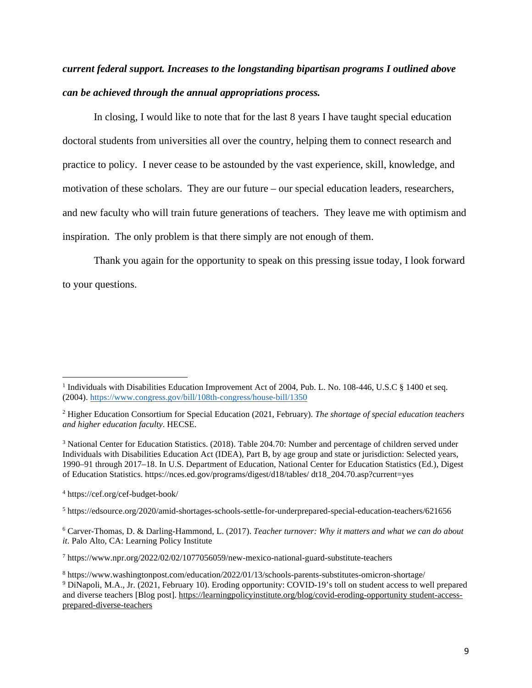# *current federal support. Increases to the longstanding bipartisan programs I outlined above can be achieved through the annual appropriations process.*

In closing, I would like to note that for the last 8 years I have taught special education doctoral students from universities all over the country, helping them to connect research and practice to policy. I never cease to be astounded by the vast experience, skill, knowledge, and motivation of these scholars. They are our future – our special education leaders, researchers, and new faculty who will train future generations of teachers. They leave me with optimism and inspiration. The only problem is that there simply are not enough of them.

Thank you again for the opportunity to speak on this pressing issue today, I look forward to your questions.

<span id="page-8-2"></span><sup>3</sup> National Center for Education Statistics. (2018). Table 204.70: Number and percentage of children served under Individuals with Disabilities Education Act (IDEA), Part B, by age group and state or jurisdiction: Selected years, 1990–91 through 2017–18. In U.S. Department of Education, National Center for Education Statistics (Ed.), Digest of Education Statistics. https://nces.ed.gov/programs/digest/d18/tables/ dt18\_204.70.asp?current=yes

<span id="page-8-3"></span><sup>4</sup> https://cef.org/cef-budget-book/

<span id="page-8-4"></span><sup>5</sup> https://edsource.org/2020/amid-shortages-schools-settle-for-underprepared-special-education-teachers/621656

<span id="page-8-5"></span><sup>6</sup> Carver-Thomas, D. & Darling-Hammond, L. (2017). *Teacher turnover: Why it matters and what we can do about it*. Palo Alto, CA: Learning Policy Institute

<span id="page-8-6"></span><sup>7</sup> https://www.npr.org/2022/02/02/1077056059/new-mexico-national-guard-substitute-teachers

<span id="page-8-8"></span><span id="page-8-7"></span><sup>8</sup> https://www.washingtonpost.com/education/2022/01/13/schools-parents-substitutes-omicron-shortage/ <sup>9</sup> DiNapoli, M.A., Jr. (2021, February 10). Eroding opportunity: COVID-19's toll on student access to well prepared and diverse teachers [Blog post]. https://learningpolicyinstitute.org/blog/covid-eroding-opportunity student-accessprepared-diverse-teachers

<span id="page-8-0"></span><sup>&</sup>lt;sup>1</sup> Individuals with Disabilities Education Improvement Act of 2004, Pub. L. No. 108-446, U.S.C § 1400 et seq. (2004). <https://www.congress.gov/bill/108th-congress/house-bill/1350>

<span id="page-8-1"></span><sup>2</sup> Higher Education Consortium for Special Education (2021, February). *The shortage of special education teachers and higher education faculty*. HECSE.